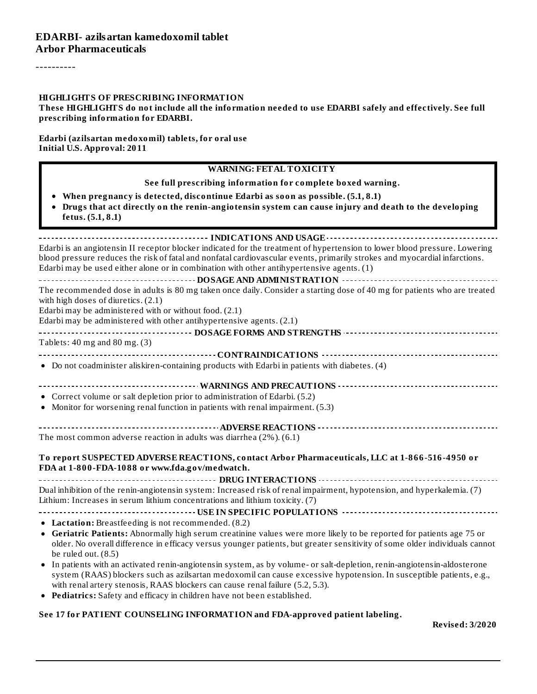----------

#### **HIGHLIGHTS OF PRESCRIBING INFORMATION**

**These HIGHLIGHTS do not include all the information needed to use EDARBI safely and effectively. See full prescribing information for EDARBI.**

#### **Edarbi (azilsartan medoxomil) tablets, for oral use Initial U.S. Approval: 2011**

#### **WARNING: FETAL TOXICITY**

**See full prescribing information for complete boxed warning.**

- **When pregnancy is detected, discontinue Edarbi as soon as possible. (5.1, 8.1)**
- **Drugs that act directly on the renin-angiotensin system can cause injury and death to the developing fetus. (5.1, 8.1)**

| Edarbi is an angiotensin II receptor blocker indicated for the treatment of hypertension to lower blood pressure. Lowering<br>blood pressure reduces the risk of fatal and nonfatal cardiovascular events, primarily strokes and myocardial infarctions.<br>Edarbi may be used either alone or in combination with other antihypertensive agents. (1) |
|-------------------------------------------------------------------------------------------------------------------------------------------------------------------------------------------------------------------------------------------------------------------------------------------------------------------------------------------------------|
|                                                                                                                                                                                                                                                                                                                                                       |
| The recommended dose in adults is 80 mg taken once daily. Consider a starting dose of 40 mg for patients who are treated                                                                                                                                                                                                                              |
| with high doses of diuretics. (2.1)                                                                                                                                                                                                                                                                                                                   |
| Edarbi may be administered with or without food. (2.1)                                                                                                                                                                                                                                                                                                |
| Edarbi may be administered with other antihypertensive agents. (2.1)                                                                                                                                                                                                                                                                                  |
| ------------------------------------- DOSAGE FORMS AND STRENGTHS --------------------------------                                                                                                                                                                                                                                                     |
| Tablets: 40 mg and 80 mg. (3)                                                                                                                                                                                                                                                                                                                         |
|                                                                                                                                                                                                                                                                                                                                                       |
| • Do not coadminister aliskiren-containing products with Edarbi in patients with diabetes. (4)                                                                                                                                                                                                                                                        |
|                                                                                                                                                                                                                                                                                                                                                       |
|                                                                                                                                                                                                                                                                                                                                                       |
| • Correct volume or salt depletion prior to administration of Edarbi. (5.2)                                                                                                                                                                                                                                                                           |
| • Monitor for worsening renal function in patients with renal impairment. (5.3)                                                                                                                                                                                                                                                                       |
|                                                                                                                                                                                                                                                                                                                                                       |
|                                                                                                                                                                                                                                                                                                                                                       |
| The most common adverse reaction in adults was diarrhea $(2\%)$ . $(6.1)$                                                                                                                                                                                                                                                                             |
|                                                                                                                                                                                                                                                                                                                                                       |
| To report SUSPECTED ADVERSE REACTIONS, contact Arbor Pharmaceuticals, LLC at 1-866-516-4950 or<br>FDA at 1-800-FDA-1088 or www.fda.gov/medwatch.                                                                                                                                                                                                      |
|                                                                                                                                                                                                                                                                                                                                                       |
| Dual inhibition of the renin-angiotensin system: Increased risk of renal impairment, hypotension, and hyperkalemia. (7)                                                                                                                                                                                                                               |
| Lithium: Increases in serum lithium concentrations and lithium toxicity. (7)                                                                                                                                                                                                                                                                          |
|                                                                                                                                                                                                                                                                                                                                                       |
| • Lactation: Breastfeeding is not recommended. (8.2)                                                                                                                                                                                                                                                                                                  |
| • Geriatric Patients: Abnormally high serum creatinine values were more likely to be reported for patients age 75 or                                                                                                                                                                                                                                  |
| older. No overall difference in efficacy versus younger patients, but greater sensitivity of some older individuals cannot                                                                                                                                                                                                                            |
| be ruled out. (8.5)                                                                                                                                                                                                                                                                                                                                   |
| In patients with an activated renin-angiotensin system, as by volume- or salt-depletion, renin-angiotensin-aldosterone                                                                                                                                                                                                                                |
| system (RAAS) blockers such as azilsartan medoxomil can cause excessive hypotension. In susceptible patients, e.g.,                                                                                                                                                                                                                                   |
| with renal artery stenosis, RAAS blockers can cause renal failure (5.2, 5.3).                                                                                                                                                                                                                                                                         |
| • Pediatrics: Safety and efficacy in children have not been established.                                                                                                                                                                                                                                                                              |
|                                                                                                                                                                                                                                                                                                                                                       |

#### **See 17 for PATIENT COUNSELING INFORMATION and FDA-approved patient labeling.**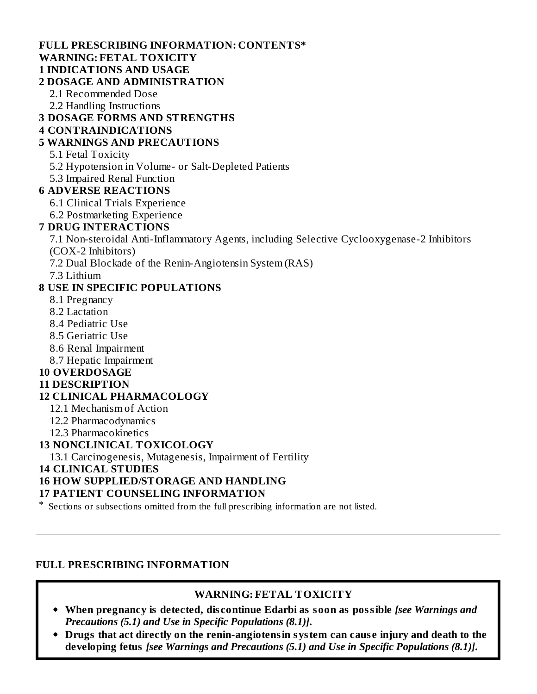#### **FULL PRESCRIBING INFORMATION: CONTENTS\***

**WARNING: FETAL TOXICITY**

#### **1 INDICATIONS AND USAGE**

#### **2 DOSAGE AND ADMINISTRATION**

2.1 Recommended Dose

2.2 Handling Instructions

#### **3 DOSAGE FORMS AND STRENGTHS**

#### **4 CONTRAINDICATIONS**

#### **5 WARNINGS AND PRECAUTIONS**

- 5.1 Fetal Toxicity
- 5.2 Hypotension in Volume- or Salt-Depleted Patients
- 5.3 Impaired Renal Function

#### **6 ADVERSE REACTIONS**

- 6.1 Clinical Trials Experience
- 6.2 Postmarketing Experience

#### **7 DRUG INTERACTIONS**

7.1 Non-steroidal Anti-Inflammatory Agents, including Selective Cyclooxygenase-2 Inhibitors (COX-2 Inhibitors)

7.2 Dual Blockade of the Renin-Angiotensin System (RAS)

7.3 Lithium

#### **8 USE IN SPECIFIC POPULATIONS**

- 8.1 Pregnancy
- 8.2 Lactation
- 8.4 Pediatric Use
- 8.5 Geriatric Use
- 8.6 Renal Impairment
- 8.7 Hepatic Impairment

#### **10 OVERDOSAGE**

#### **11 DESCRIPTION**

#### **12 CLINICAL PHARMACOLOGY**

- 12.1 Mechanism of Action
- 12.2 Pharmacodynamics
- 12.3 Pharmacokinetics

#### **13 NONCLINICAL TOXICOLOGY**

13.1 Carcinogenesis, Mutagenesis, Impairment of Fertility

#### **14 CLINICAL STUDIES**

#### **16 HOW SUPPLIED/STORAGE AND HANDLING**

#### **17 PATIENT COUNSELING INFORMATION**

\* Sections or subsections omitted from the full prescribing information are not listed.

#### **FULL PRESCRIBING INFORMATION**

#### **WARNING: FETAL TOXICITY**

- **When pregnancy is detected, dis continue Edarbi as soon as possible** *[see Warnings and Precautions (5.1) and Use in Specific Populations (8.1)]***.**
- **Drugs that act directly on the renin-angiotensin system can caus e injury and death to the developing fetus** *[see Warnings and Precautions (5.1) and Use in Specific Populations (8.1)]***.**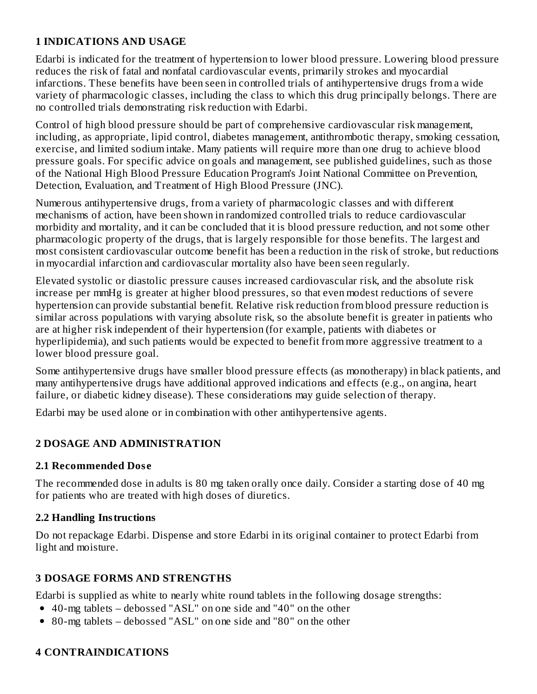#### **1 INDICATIONS AND USAGE**

Edarbi is indicated for the treatment of hypertension to lower blood pressure. Lowering blood pressure reduces the risk of fatal and nonfatal cardiovascular events, primarily strokes and myocardial infarctions. These benefits have been seen in controlled trials of antihypertensive drugs from a wide variety of pharmacologic classes, including the class to which this drug principally belongs. There are no controlled trials demonstrating risk reduction with Edarbi.

Control of high blood pressure should be part of comprehensive cardiovascular risk management, including, as appropriate, lipid control, diabetes management, antithrombotic therapy, smoking cessation, exercise, and limited sodium intake. Many patients will require more than one drug to achieve blood pressure goals. For specific advice on goals and management, see published guidelines, such as those of the National High Blood Pressure Education Program's Joint National Committee on Prevention, Detection, Evaluation, and Treatment of High Blood Pressure (JNC).

Numerous antihypertensive drugs, from a variety of pharmacologic classes and with different mechanisms of action, have been shown in randomized controlled trials to reduce cardiovascular morbidity and mortality, and it can be concluded that it is blood pressure reduction, and not some other pharmacologic property of the drugs, that is largely responsible for those benefits. The largest and most consistent cardiovascular outcome benefit has been a reduction in the risk of stroke, but reductions in myocardial infarction and cardiovascular mortality also have been seen regularly.

Elevated systolic or diastolic pressure causes increased cardiovascular risk, and the absolute risk increase per mmHg is greater at higher blood pressures, so that even modest reductions of severe hypertension can provide substantial benefit. Relative risk reduction from blood pressure reduction is similar across populations with varying absolute risk, so the absolute benefit is greater in patients who are at higher risk independent of their hypertension (for example, patients with diabetes or hyperlipidemia), and such patients would be expected to benefit from more aggressive treatment to a lower blood pressure goal.

Some antihypertensive drugs have smaller blood pressure effects (as monotherapy) in black patients, and many antihypertensive drugs have additional approved indications and effects (e.g., on angina, heart failure, or diabetic kidney disease). These considerations may guide selection of therapy.

Edarbi may be used alone or in combination with other antihypertensive agents.

#### **2 DOSAGE AND ADMINISTRATION**

#### **2.1 Recommended Dos e**

The recommended dose in adults is 80 mg taken orally once daily. Consider a starting dose of 40 mg for patients who are treated with high doses of diuretics.

#### **2.2 Handling Instructions**

Do not repackage Edarbi. Dispense and store Edarbi in its original container to protect Edarbi from light and moisture.

#### **3 DOSAGE FORMS AND STRENGTHS**

Edarbi is supplied as white to nearly white round tablets in the following dosage strengths:

- 40-mg tablets debossed "ASL" on one side and "40" on the other
- 80-mg tablets debossed "ASL" on one side and "80" on the other

#### **4 CONTRAINDICATIONS**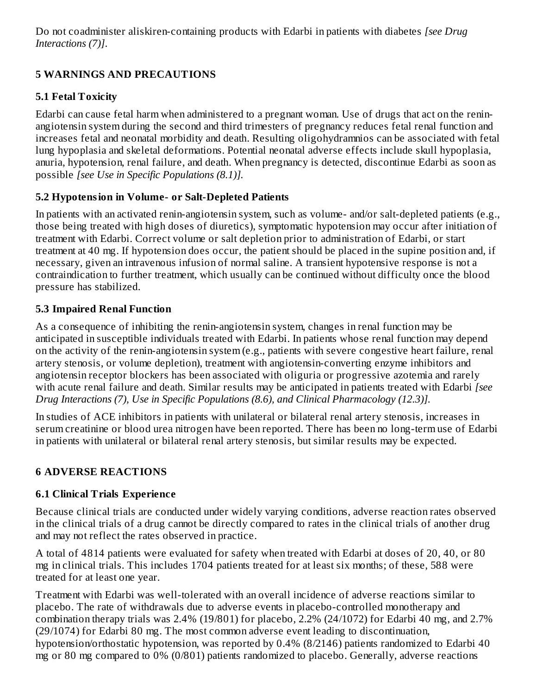Do not coadminister aliskiren-containing products with Edarbi in patients with diabetes *[see Drug Interactions (7)]*.

## **5 WARNINGS AND PRECAUTIONS**

#### **5.1 Fetal Toxicity**

Edarbi can cause fetal harm when administered to a pregnant woman. Use of drugs that act on the reninangiotensin system during the second and third trimesters of pregnancy reduces fetal renal function and increases fetal and neonatal morbidity and death. Resulting oligohydramnios can be associated with fetal lung hypoplasia and skeletal deformations. Potential neonatal adverse effects include skull hypoplasia, anuria, hypotension, renal failure, and death. When pregnancy is detected, discontinue Edarbi as soon as possible *[see Use in Specific Populations (8.1)].*

#### **5.2 Hypotension in Volume- or Salt-Depleted Patients**

In patients with an activated renin-angiotensin system, such as volume- and/or salt-depleted patients (e.g., those being treated with high doses of diuretics), symptomatic hypotension may occur after initiation of treatment with Edarbi. Correct volume or salt depletion prior to administration of Edarbi, or start treatment at 40 mg. If hypotension does occur, the patient should be placed in the supine position and, if necessary, given an intravenous infusion of normal saline*.* A transient hypotensive response is not a contraindication to further treatment, which usually can be continued without difficulty once the blood pressure has stabilized.

#### **5.3 Impaired Renal Function**

As a consequence of inhibiting the renin-angiotensin system, changes in renal function may be anticipated in susceptible individuals treated with Edarbi. In patients whose renal function may depend on the activity of the renin-angiotensin system (e.g., patients with severe congestive heart failure, renal artery stenosis, or volume depletion), treatment with angiotensin-converting enzyme inhibitors and angiotensin receptor blockers has been associated with oliguria or progressive azotemia and rarely with acute renal failure and death. Similar results may be anticipated in patients treated with Edarbi *[see Drug Interactions (7), Use in Specific Populations (8.6), and Clinical Pharmacology (12.3)].*

In studies of ACE inhibitors in patients with unilateral or bilateral renal artery stenosis, increases in serum creatinine or blood urea nitrogen have been reported. There has been no long-term use of Edarbi in patients with unilateral or bilateral renal artery stenosis, but similar results may be expected.

## **6 ADVERSE REACTIONS**

#### **6.1 Clinical Trials Experience**

Because clinical trials are conducted under widely varying conditions, adverse reaction rates observed in the clinical trials of a drug cannot be directly compared to rates in the clinical trials of another drug and may not reflect the rates observed in practice.

A total of 4814 patients were evaluated for safety when treated with Edarbi at doses of 20, 40, or 80 mg in clinical trials. This includes 1704 patients treated for at least six months; of these, 588 were treated for at least one year.

Treatment with Edarbi was well-tolerated with an overall incidence of adverse reactions similar to placebo. The rate of withdrawals due to adverse events in placebo-controlled monotherapy and combination therapy trials was 2.4% (19/801) for placebo, 2.2% (24/1072) for Edarbi 40 mg, and 2.7% (29/1074) for Edarbi 80 mg. The most common adverse event leading to discontinuation, hypotension/orthostatic hypotension, was reported by 0.4% (8/2146) patients randomized to Edarbi 40 mg or 80 mg compared to 0% (0/801) patients randomized to placebo. Generally, adverse reactions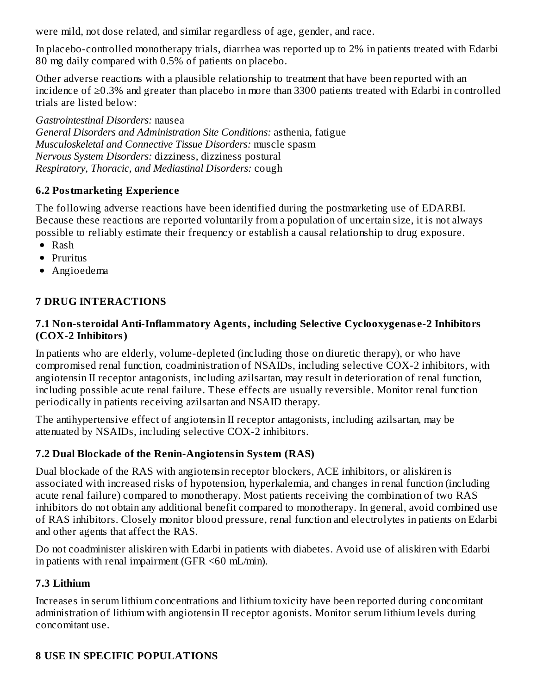were mild, not dose related, and similar regardless of age, gender, and race.

In placebo-controlled monotherapy trials, diarrhea was reported up to 2% in patients treated with Edarbi 80 mg daily compared with 0.5% of patients on placebo.

Other adverse reactions with a plausible relationship to treatment that have been reported with an incidence of ≥0.3% and greater than placebo in more than 3300 patients treated with Edarbi in controlled trials are listed below:

*Gastrointestinal Disorders:* nausea *General Disorders and Administration Site Conditions:* asthenia, fatigue *Musculoskeletal and Connective Tissue Disorders:* muscle spasm *Nervous System Disorders:* dizziness, dizziness postural *Respiratory, Thoracic, and Mediastinal Disorders:* cough

#### **6.2 Postmarketing Experience**

The following adverse reactions have been identified during the postmarketing use of EDARBI. Because these reactions are reported voluntarily from a population of uncertain size, it is not always possible to reliably estimate their frequency or establish a causal relationship to drug exposure.

- Rash
- Pruritus
- Angioedema

#### **7 DRUG INTERACTIONS**

#### **7.1 Non-steroidal Anti-Inflammatory Agents, including Selective Cyclooxygenas e-2 Inhibitors (COX-2 Inhibitors)**

In patients who are elderly, volume-depleted (including those on diuretic therapy), or who have compromised renal function, coadministration of NSAIDs, including selective COX-2 inhibitors, with angiotensin II receptor antagonists, including azilsartan, may result in deterioration of renal function, including possible acute renal failure. These effects are usually reversible. Monitor renal function periodically in patients receiving azilsartan and NSAID therapy.

The antihypertensive effect of angiotensin II receptor antagonists, including azilsartan, may be attenuated by NSAIDs, including selective COX-2 inhibitors.

#### **7.2 Dual Blockade of the Renin-Angiotensin System (RAS)**

Dual blockade of the RAS with angiotensin receptor blockers, ACE inhibitors, or aliskiren is associated with increased risks of hypotension, hyperkalemia, and changes in renal function (including acute renal failure) compared to monotherapy. Most patients receiving the combination of two RAS inhibitors do not obtain any additional benefit compared to monotherapy. In general, avoid combined use of RAS inhibitors. Closely monitor blood pressure, renal function and electrolytes in patients on Edarbi and other agents that affect the RAS.

Do not coadminister aliskiren with Edarbi in patients with diabetes. Avoid use of aliskiren with Edarbi in patients with renal impairment (GFR <60 mL/min).

#### **7.3 Lithium**

Increases in serum lithium concentrations and lithium toxicity have been reported during concomitant administration of lithium with angiotensin II receptor agonists. Monitor serum lithium levels during concomitant use.

## **8 USE IN SPECIFIC POPULATIONS**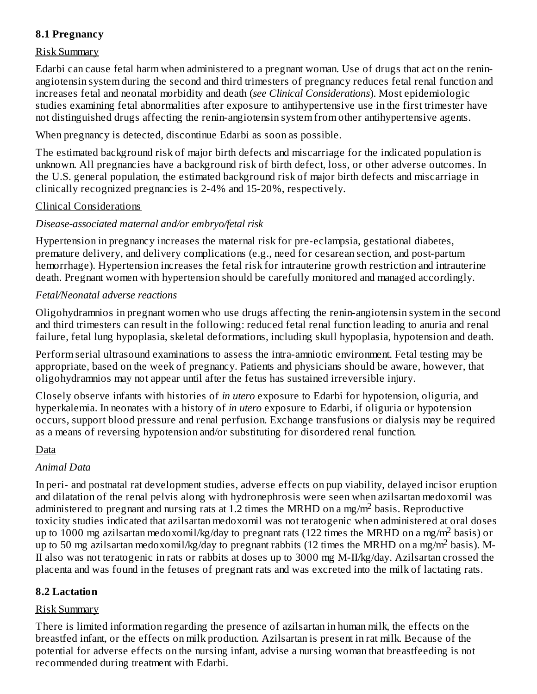#### **8.1 Pregnancy**

#### Risk Summary

Edarbi can cause fetal harm when administered to a pregnant woman. Use of drugs that act on the reninangiotensin system during the second and third trimesters of pregnancy reduces fetal renal function and increases fetal and neonatal morbidity and death (*see Clinical Considerations*). Most epidemiologic studies examining fetal abnormalities after exposure to antihypertensive use in the first trimester have not distinguished drugs affecting the renin-angiotensin system from other antihypertensive agents.

When pregnancy is detected, discontinue Edarbi as soon as possible.

The estimated background risk of major birth defects and miscarriage for the indicated population is unknown. All pregnancies have a background risk of birth defect, loss, or other adverse outcomes. In the U.S. general population, the estimated background risk of major birth defects and miscarriage in clinically recognized pregnancies is 2-4% and 15-20%, respectively.

#### Clinical Considerations

#### *Disease-associated maternal and/or embryo/fetal risk*

Hypertension in pregnancy increases the maternal risk for pre-eclampsia, gestational diabetes, premature delivery, and delivery complications (e.g., need for cesarean section, and post-partum hemorrhage). Hypertension increases the fetal risk for intrauterine growth restriction and intrauterine death. Pregnant women with hypertension should be carefully monitored and managed accordingly.

#### *Fetal/Neonatal adverse reactions*

Oligohydramnios in pregnant women who use drugs affecting the renin-angiotensin system in the second and third trimesters can result in the following: reduced fetal renal function leading to anuria and renal failure, fetal lung hypoplasia, skeletal deformations, including skull hypoplasia, hypotension and death.

Perform serial ultrasound examinations to assess the intra-amniotic environment. Fetal testing may be appropriate, based on the week of pregnancy. Patients and physicians should be aware, however, that oligohydramnios may not appear until after the fetus has sustained irreversible injury.

Closely observe infants with histories of *in utero* exposure to Edarbi for hypotension, oliguria, and hyperkalemia. In neonates with a history of *in utero* exposure to Edarbi, if oliguria or hypotension occurs, support blood pressure and renal perfusion. Exchange transfusions or dialysis may be required as a means of reversing hypotension and/or substituting for disordered renal function*.*

#### Data

#### *Animal Data*

In peri- and postnatal rat development studies, adverse effects on pup viability, delayed incisor eruption and dilatation of the renal pelvis along with hydronephrosis were seen when azilsartan medoxomil was administered to pregnant and nursing rats at 1.2 times the MRHD on a mg/m<sup>2</sup> basis. Reproductive toxicity studies indicated that azilsartan medoxomil was not teratogenic when administered at oral doses up to 1000 mg azilsartan medoxomil/kg/day to pregnant rats (122 times the MRHD on a mg/m<sup>2</sup> basis) or up to 50 mg azilsartan medoxomil/kg/day to pregnant rabbits (12 times the MRHD on a mg/m<sup>2</sup> basis). M-II also was not teratogenic in rats or rabbits at doses up to 3000 mg M-II/kg/day. Azilsartan crossed the placenta and was found in the fetuses of pregnant rats and was excreted into the milk of lactating rats.

#### **8.2 Lactation**

#### Risk Summary

There is limited information regarding the presence of azilsartan in human milk, the effects on the breastfed infant, or the effects on milk production. Azilsartan is present in rat milk. Because of the potential for adverse effects on the nursing infant, advise a nursing woman that breastfeeding is not recommended during treatment with Edarbi*.*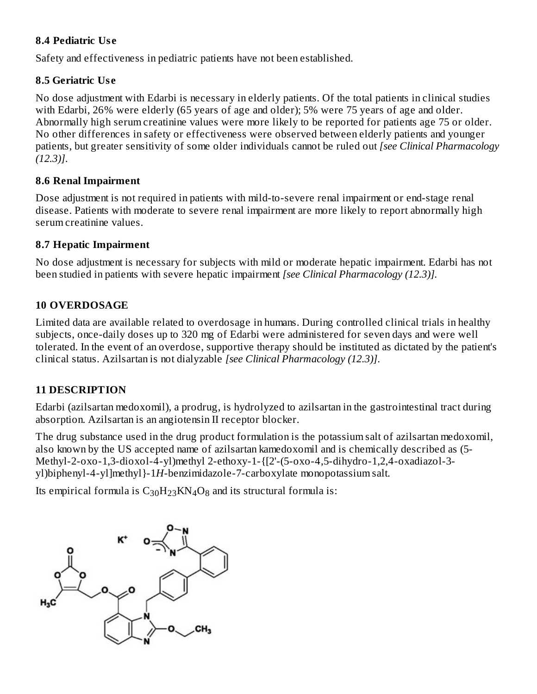#### **8.4 Pediatric Us e**

Safety and effectiveness in pediatric patients have not been established.

#### **8.5 Geriatric Us e**

No dose adjustment with Edarbi is necessary in elderly patients. Of the total patients in clinical studies with Edarbi, 26% were elderly (65 years of age and older); 5% were 75 years of age and older. Abnormally high serum creatinine values were more likely to be reported for patients age 75 or older. No other differences in safety or effectiveness were observed between elderly patients and younger patients, but greater sensitivity of some older individuals cannot be ruled out *[see Clinical Pharmacology (12.3)]*.

#### **8.6 Renal Impairment**

Dose adjustment is not required in patients with mild-to-severe renal impairment or end-stage renal disease. Patients with moderate to severe renal impairment are more likely to report abnormally high serum creatinine values.

#### **8.7 Hepatic Impairment**

No dose adjustment is necessary for subjects with mild or moderate hepatic impairment. Edarbi has not been studied in patients with severe hepatic impairment *[see Clinical Pharmacology (12.3)].*

#### **10 OVERDOSAGE**

Limited data are available related to overdosage in humans. During controlled clinical trials in healthy subjects, once-daily doses up to 320 mg of Edarbi were administered for seven days and were well tolerated. In the event of an overdose, supportive therapy should be instituted as dictated by the patient's clinical status. Azilsartan is not dialyzable *[see Clinical Pharmacology (12.3)]*.

#### **11 DESCRIPTION**

Edarbi (azilsartan medoxomil), a prodrug, is hydrolyzed to azilsartan in the gastrointestinal tract during absorption. Azilsartan is an angiotensin II receptor blocker.

The drug substance used in the drug product formulation is the potassium salt of azilsartan medoxomil, also known by the US accepted name of azilsartan kamedoxomil and is chemically described as (5- Methyl-2-oxo-1,3-dioxol-4-yl)methyl 2-ethoxy-1-{[2'-(5-oxo-4,5-dihydro-1,2,4-oxadiazol-3 yl)biphenyl-4-yl]methyl}-1*H*-benzimidazole-7-carboxylate monopotassium salt.

Its empirical formula is  $C_{30}H_{23}KN_4O_8$  and its structural formula is:

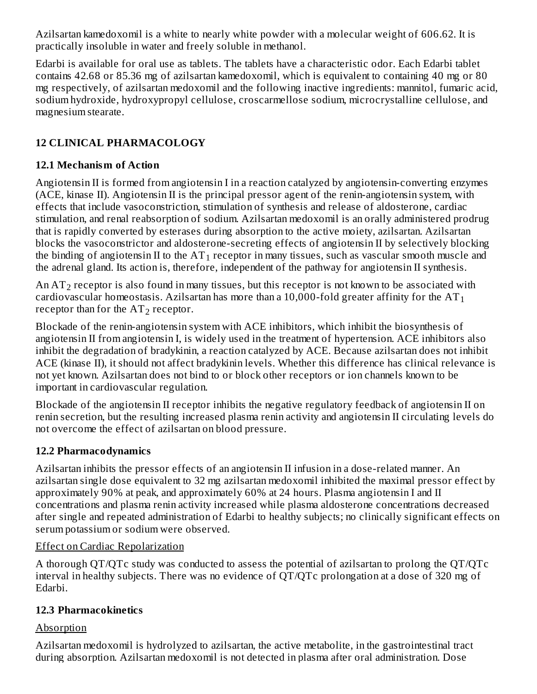Azilsartan kamedoxomil is a white to nearly white powder with a molecular weight of 606.62. It is practically insoluble in water and freely soluble in methanol.

Edarbi is available for oral use as tablets. The tablets have a characteristic odor. Each Edarbi tablet contains 42.68 or 85.36 mg of azilsartan kamedoxomil, which is equivalent to containing 40 mg or 80 mg respectively, of azilsartan medoxomil and the following inactive ingredients: mannitol, fumaric acid, sodium hydroxide, hydroxypropyl cellulose, croscarmellose sodium, microcrystalline cellulose, and magnesium stearate.

#### **12 CLINICAL PHARMACOLOGY**

#### **12.1 Mechanism of Action**

Angiotensin II is formed from angiotensin I in a reaction catalyzed by angiotensin-converting enzymes (ACE, kinase II). Angiotensin II is the principal pressor agent of the renin-angiotensin system, with effects that include vasoconstriction, stimulation of synthesis and release of aldosterone, cardiac stimulation, and renal reabsorption of sodium. Azilsartan medoxomil is an orally administered prodrug that is rapidly converted by esterases during absorption to the active moiety, azilsartan. Azilsartan blocks the vasoconstrictor and aldosterone-secreting effects of angiotensin II by selectively blocking the binding of angiotensin II to the  $AT_1$  receptor in many tissues, such as vascular smooth muscle and the adrenal gland. Its action is, therefore, independent of the pathway for angiotensin II synthesis.

An AT $_{\rm 2}$  receptor is also found in many tissues, but this receptor is not known to be associated with cardiovascular homeostasis. Azilsartan has more than a 10,000-fold greater affinity for the AT $_{\rm 1}$ receptor than for the  $AT_2$  receptor.

Blockade of the renin-angiotensin system with ACE inhibitors, which inhibit the biosynthesis of angiotensin II from angiotensin I, is widely used in the treatment of hypertension. ACE inhibitors also inhibit the degradation of bradykinin, a reaction catalyzed by ACE. Because azilsartan does not inhibit ACE (kinase II), it should not affect bradykinin levels. Whether this difference has clinical relevance is not yet known. Azilsartan does not bind to or block other receptors or ion channels known to be important in cardiovascular regulation.

Blockade of the angiotensin II receptor inhibits the negative regulatory feedback of angiotensin II on renin secretion, but the resulting increased plasma renin activity and angiotensin II circulating levels do not overcome the effect of azilsartan on blood pressure.

#### **12.2 Pharmacodynamics**

Azilsartan inhibits the pressor effects of an angiotensin II infusion in a dose-related manner. An azilsartan single dose equivalent to 32 mg azilsartan medoxomil inhibited the maximal pressor effect by approximately 90% at peak, and approximately 60% at 24 hours. Plasma angiotensin I and II concentrations and plasma renin activity increased while plasma aldosterone concentrations decreased after single and repeated administration of Edarbi to healthy subjects; no clinically significant effects on serum potassium or sodium were observed.

#### Effect on Cardiac Repolarization

A thorough QT/QTc study was conducted to assess the potential of azilsartan to prolong the QT/QTc interval in healthy subjects. There was no evidence of QT/QTc prolongation at a dose of 320 mg of Edarbi.

#### **12.3 Pharmacokinetics**

#### Absorption

Azilsartan medoxomil is hydrolyzed to azilsartan, the active metabolite, in the gastrointestinal tract during absorption. Azilsartan medoxomil is not detected in plasma after oral administration. Dose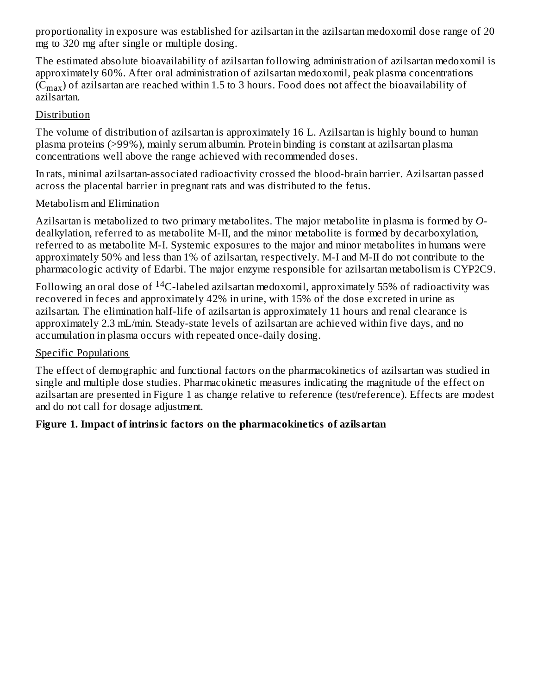proportionality in exposure was established for azilsartan in the azilsartan medoxomil dose range of 20 mg to 320 mg after single or multiple dosing.

The estimated absolute bioavailability of azilsartan following administration of azilsartan medoxomil is approximately 60%. After oral administration of azilsartan medoxomil, peak plasma concentrations (C $_{\rm max}$ ) of azilsartan are reached within 1.5 to 3 hours. Food does not affect the bioavailability of azilsartan.

#### Distribution

The volume of distribution of azilsartan is approximately 16 L. Azilsartan is highly bound to human plasma proteins (>99%), mainly serum albumin. Protein binding is constant at azilsartan plasma concentrations well above the range achieved with recommended doses.

In rats, minimal azilsartan-associated radioactivity crossed the blood-brain barrier. Azilsartan passed across the placental barrier in pregnant rats and was distributed to the fetus.

#### Metabolism and Elimination

Azilsartan is metabolized to two primary metabolites. The major metabolite in plasma is formed by *O*dealkylation, referred to as metabolite M-II, and the minor metabolite is formed by decarboxylation, referred to as metabolite M-I. Systemic exposures to the major and minor metabolites in humans were approximately 50% and less than 1% of azilsartan, respectively. M-I and M-II do not contribute to the pharmacologic activity of Edarbi. The major enzyme responsible for azilsartan metabolism is CYP2C9.

Following an oral dose of  $\rm ^{14}C$ -labeled azilsartan medoxomil, approximately 55% of radioactivity was recovered in feces and approximately 42% in urine, with 15% of the dose excreted in urine as azilsartan. The elimination half-life of azilsartan is approximately 11 hours and renal clearance is approximately 2.3 mL/min. Steady-state levels of azilsartan are achieved within five days, and no accumulation in plasma occurs with repeated once-daily dosing.

#### Specific Populations

The effect of demographic and functional factors on the pharmacokinetics of azilsartan was studied in single and multiple dose studies. Pharmacokinetic measures indicating the magnitude of the effect on azilsartan are presented in Figure 1 as change relative to reference (test/reference). Effects are modest and do not call for dosage adjustment.

#### **Figure 1. Impact of intrinsic factors on the pharmacokinetics of azilsartan**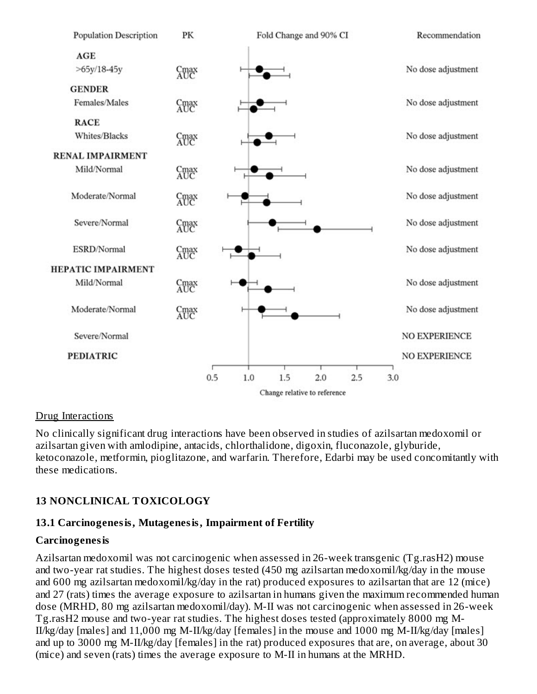

#### Drug Interactions

No clinically significant drug interactions have been observed in studies of azilsartan medoxomil or azilsartan given with amlodipine, antacids, chlorthalidone, digoxin, fluconazole, glyburide, ketoconazole, metformin, pioglitazone, and warfarin. Therefore, Edarbi may be used concomitantly with these medications*.*

#### **13 NONCLINICAL TOXICOLOGY**

#### **13.1 Carcinogenesis, Mutagenesis, Impairment of Fertility**

#### **Carcinogenesis**

Azilsartan medoxomil was not carcinogenic when assessed in 26-week transgenic (Tg.rasH2) mouse and two-year rat studies. The highest doses tested (450 mg azilsartan medoxomil/kg/day in the mouse and 600 mg azilsartan medoxomil/kg/day in the rat) produced exposures to azilsartan that are 12 (mice) and 27 (rats) times the average exposure to azilsartan in humans given the maximum recommended human dose (MRHD, 80 mg azilsartan medoxomil/day). M-II was not carcinogenic when assessed in 26-week Tg.rasH2 mouse and two-year rat studies. The highest doses tested (approximately 8000 mg M-II/kg/day [males] and 11,000 mg M-II/kg/day [females] in the mouse and 1000 mg M-II/kg/day [males] and up to 3000 mg M-II/kg/day [females] in the rat) produced exposures that are, on average, about 30 (mice) and seven (rats) times the average exposure to M-II in humans at the MRHD.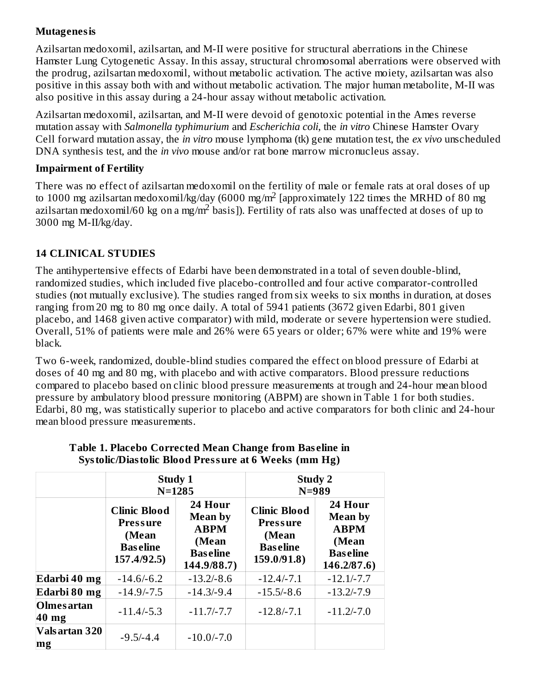#### **Mutagenesis**

Azilsartan medoxomil, azilsartan, and M-II were positive for structural aberrations in the Chinese Hamster Lung Cytogenetic Assay. In this assay, structural chromosomal aberrations were observed with the prodrug, azilsartan medoxomil, without metabolic activation. The active moiety, azilsartan was also positive in this assay both with and without metabolic activation. The major human metabolite, M-II was also positive in this assay during a 24-hour assay without metabolic activation.

Azilsartan medoxomil, azilsartan, and M-II were devoid of genotoxic potential in the Ames reverse mutation assay with *Salmonella typhimurium* and *Escherichia coli*, the *in vitro* Chinese Hamster Ovary Cell forward mutation assay, the *in vitro* mouse lymphoma (tk) gene mutation test, the *ex vivo* unscheduled DNA synthesis test, and the *in vivo* mouse and/or rat bone marrow micronucleus assay.

#### **Impairment of Fertility**

There was no effect of azilsartan medoxomil on the fertility of male or female rats at oral doses of up to 1000 mg azilsartan medoxomil/kg/day (6000 mg/m<sup>2</sup> [approximately 122 times the MRHD of 80 mg azilsartan medoxomil/60 kg on a mg/m<sup>2</sup> basis]). Fertility of rats also was unaffected at doses of up to 3000 mg M-II/kg/day.

#### **14 CLINICAL STUDIES**

The antihypertensive effects of Edarbi have been demonstrated in a total of seven double-blind, randomized studies, which included five placebo-controlled and four active comparator-controlled studies (not mutually exclusive). The studies ranged from six weeks to six months in duration, at doses ranging from 20 mg to 80 mg once daily. A total of 5941 patients (3672 given Edarbi, 801 given placebo, and 1468 given active comparator) with mild, moderate or severe hypertension were studied. Overall, 51% of patients were male and 26% were 65 years or older; 67% were white and 19% were black.

Two 6-week, randomized, double-blind studies compared the effect on blood pressure of Edarbi at doses of 40 mg and 80 mg, with placebo and with active comparators. Blood pressure reductions compared to placebo based on clinic blood pressure measurements at trough and 24-hour mean blood pressure by ambulatory blood pressure monitoring (ABPM) are shown in Table 1 for both studies. Edarbi, 80 mg, was statistically superior to placebo and active comparators for both clinic and 24-hour mean blood pressure measurements.

|                                                                                   | <b>Study 1</b><br>$N = 1285$ |                                                                                     | <b>Study 2</b><br>$N=989$                                                         |                                                                                     |
|-----------------------------------------------------------------------------------|------------------------------|-------------------------------------------------------------------------------------|-----------------------------------------------------------------------------------|-------------------------------------------------------------------------------------|
| <b>Clinic Blood</b><br><b>Pressure</b><br>(Mean<br><b>Baseline</b><br>157.4/92.5) |                              | 24 Hour<br><b>Mean</b> by<br><b>ABPM</b><br>(Mean<br><b>Baseline</b><br>144.9/88.7) | <b>Clinic Blood</b><br><b>Pressure</b><br>(Mean<br><b>Baseline</b><br>159.0/91.8) | 24 Hour<br><b>Mean</b> by<br><b>ABPM</b><br>(Mean<br><b>Baseline</b><br>146.2/87.6) |
| Edarbi 40 mg                                                                      | $-14.6/-6.2$                 | $-13.2/-8.6$<br>$-12.4/-7.1$                                                        |                                                                                   | $-12.1/-7.7$                                                                        |
| Edarbi 80 mg                                                                      | $-14.9/-7.5$                 | $-14.3/-9.4$                                                                        | $-15.5/-8.6$                                                                      | $-13.2/-7.9$                                                                        |
| Olmes artan<br>40 mg                                                              | $-11.4/-5.3$                 | $-11.7/-7.7$                                                                        | $-12.8/-7.1$                                                                      | $-11.2/-7.0$                                                                        |
| Valsartan 320<br>mg                                                               | $-9.5/-4.4$                  | $-10.0/-7.0$                                                                        |                                                                                   |                                                                                     |

#### **Table 1. Placebo Corrected Mean Change from Bas eline in Systolic/Diastolic Blood Pressure at 6 Weeks (mm Hg)**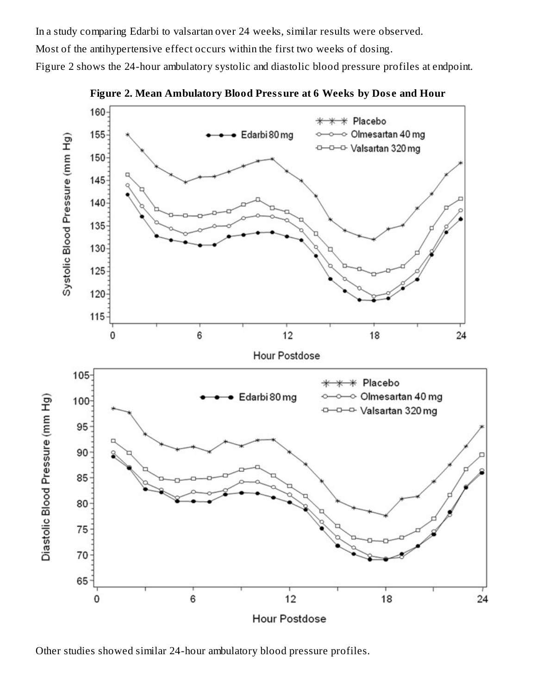In a study comparing Edarbi to valsartan over 24 weeks, similar results were observed.

Most of the antihypertensive effect occurs within the first two weeks of dosing.

Figure 2 shows the 24-hour ambulatory systolic and diastolic blood pressure profiles at endpoint.



**Figure 2. Mean Ambulatory Blood Pressure at 6 Weeks by Dos e and Hour**

Other studies showed similar 24-hour ambulatory blood pressure profiles.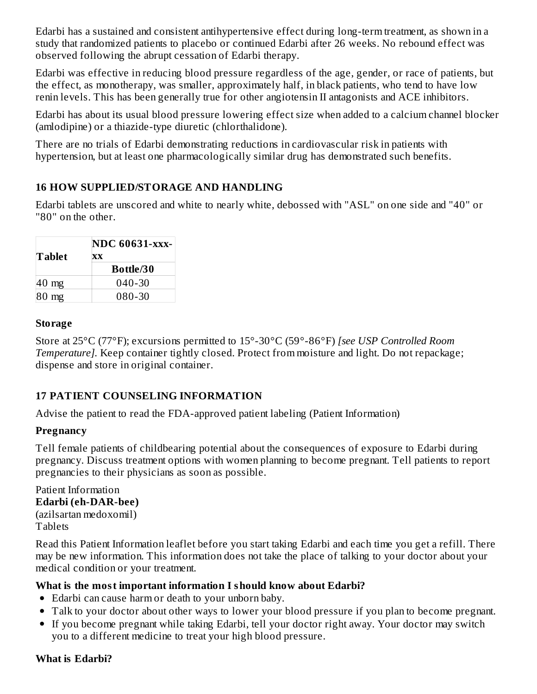Edarbi has a sustained and consistent antihypertensive effect during long-term treatment, as shown in a study that randomized patients to placebo or continued Edarbi after 26 weeks. No rebound effect was observed following the abrupt cessation of Edarbi therapy.

Edarbi was effective in reducing blood pressure regardless of the age, gender, or race of patients, but the effect, as monotherapy, was smaller, approximately half, in black patients, who tend to have low renin levels. This has been generally true for other angiotensin II antagonists and ACE inhibitors.

Edarbi has about its usual blood pressure lowering effect size when added to a calcium channel blocker (amlodipine) or a thiazide-type diuretic (chlorthalidone).

There are no trials of Edarbi demonstrating reductions in cardiovascular risk in patients with hypertension, but at least one pharmacologically similar drug has demonstrated such benefits.

#### **16 HOW SUPPLIED/STORAGE AND HANDLING**

Edarbi tablets are unscored and white to nearly white, debossed with "ASL" on one side and "40" or "80" on the other.

|                 | <b>NDC 60631-xxx-</b> |  |  |
|-----------------|-----------------------|--|--|
| Tablet          | xх                    |  |  |
|                 | Bottle/30             |  |  |
| $40$ mg         | 040-30                |  |  |
| $80 \text{ mg}$ | 080-30                |  |  |

#### **Storage**

Store at 25°C (77°F); excursions permitted to 15°-30°C (59°-86°F) *[see USP Controlled Room Temperature].* Keep container tightly closed. Protect from moisture and light. Do not repackage; dispense and store in original container.

#### **17 PATIENT COUNSELING INFORMATION**

Advise the patient to read the FDA-approved patient labeling (Patient Information)

#### **Pregnancy**

Tell female patients of childbearing potential about the consequences of exposure to Edarbi during pregnancy. Discuss treatment options with women planning to become pregnant. Tell patients to report pregnancies to their physicians as soon as possible.

Patient Information **Edarbi (eh-DAR-bee)** (azilsartan medoxomil) **Tablets** 

Read this Patient Information leaflet before you start taking Edarbi and each time you get a refill. There may be new information. This information does not take the place of talking to your doctor about your medical condition or your treatment.

#### **What is the most important information I should know about Edarbi?**

- Edarbi can cause harm or death to your unborn baby.
- Talk to your doctor about other ways to lower your blood pressure if you plan to become pregnant.
- If you become pregnant while taking Edarbi, tell your doctor right away. Your doctor may switch you to a different medicine to treat your high blood pressure.

#### **What is Edarbi?**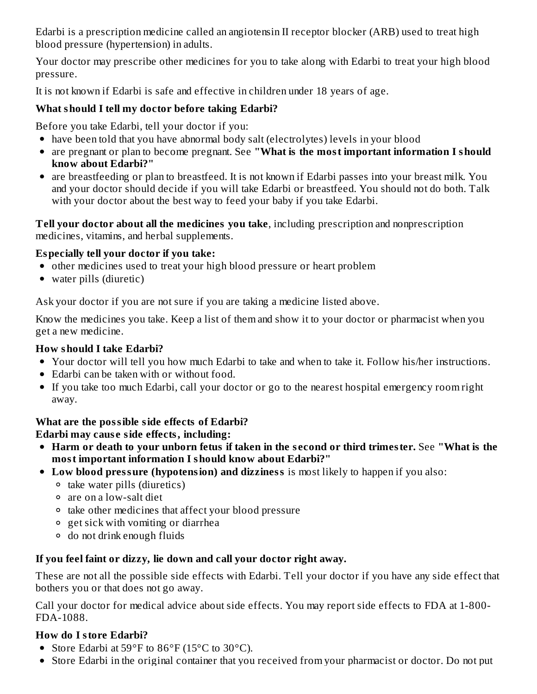Edarbi is a prescription medicine called an angiotensin II receptor blocker (ARB) used to treat high blood pressure (hypertension) in adults.

Your doctor may prescribe other medicines for you to take along with Edarbi to treat your high blood pressure.

It is not known if Edarbi is safe and effective in children under 18 years of age.

#### **What should I tell my doctor before taking Edarbi?**

Before you take Edarbi, tell your doctor if you:

- have been told that you have abnormal body salt (electrolytes) levels in your blood
- are pregnant or plan to become pregnant. See **"What is the most important information I should know about Edarbi?"**
- are breastfeeding or plan to breastfeed. It is not known if Edarbi passes into your breast milk. You and your doctor should decide if you will take Edarbi or breastfeed. You should not do both. Talk with your doctor about the best way to feed your baby if you take Edarbi.

**Tell your doctor about all the medicines you take**, including prescription and nonprescription medicines, vitamins, and herbal supplements.

#### **Especially tell your doctor if you take:**

- other medicines used to treat your high blood pressure or heart problem
- water pills (diuretic)

Ask your doctor if you are not sure if you are taking a medicine listed above.

Know the medicines you take. Keep a list of them and show it to your doctor or pharmacist when you get a new medicine.

#### **How should I take Edarbi?**

- Your doctor will tell you how much Edarbi to take and when to take it. Follow his/her instructions.
- Edarbi can be taken with or without food.
- If you take too much Edarbi, call your doctor or go to the nearest hospital emergency room right away.

## **What are the possible side effects of Edarbi?**

**Edarbi may caus e side effects, including:**

- Harm or death to your unborn fetus if taken in the second or third trimester. See "What is the **most important information I should know about Edarbi?"**
- **Low blood pressure (hypotension) and dizziness** is most likely to happen if you also:
	- take water pills (diuretics)
	- are on a low-salt diet
	- take other medicines that affect your blood pressure
	- get sick with vomiting or diarrhea
	- do not drink enough fluids

## **If you feel faint or dizzy, lie down and call your doctor right away.**

These are not all the possible side effects with Edarbi. Tell your doctor if you have any side effect that bothers you or that does not go away.

Call your doctor for medical advice about side effects. You may report side effects to FDA at 1-800- FDA-1088.

## **How do I store Edarbi?**

- Store Edarbi at 59°F to 86°F (15°C to 30°C).
- Store Edarbi in the original container that you received from your pharmacist or doctor. Do not put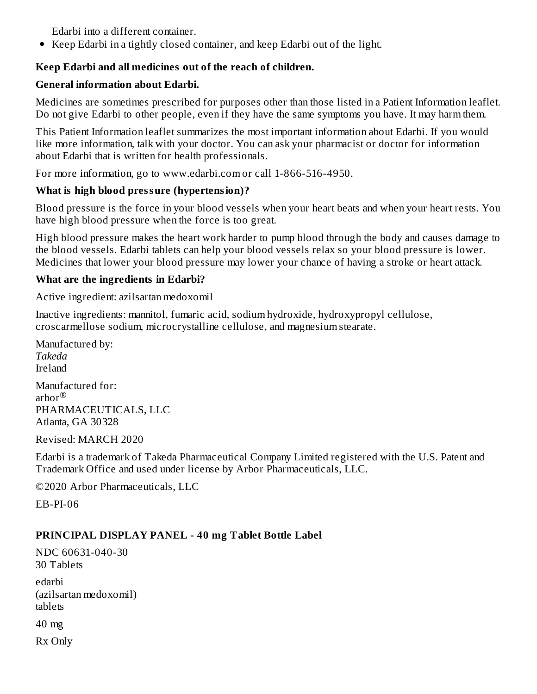Edarbi into a different container.

Keep Edarbi in a tightly closed container, and keep Edarbi out of the light.

## **Keep Edarbi and all medicines out of the reach of children.**

## **General information about Edarbi.**

Medicines are sometimes prescribed for purposes other than those listed in a Patient Information leaflet. Do not give Edarbi to other people, even if they have the same symptoms you have. It may harm them.

This Patient Information leaflet summarizes the most important information about Edarbi. If you would like more information, talk with your doctor. You can ask your pharmacist or doctor for information about Edarbi that is written for health professionals.

For more information, go to www.edarbi.com or call 1-866-516-4950.

#### **What is high blood pressure (hypertension)?**

Blood pressure is the force in your blood vessels when your heart beats and when your heart rests. You have high blood pressure when the force is too great.

High blood pressure makes the heart work harder to pump blood through the body and causes damage to the blood vessels. Edarbi tablets can help your blood vessels relax so your blood pressure is lower. Medicines that lower your blood pressure may lower your chance of having a stroke or heart attack.

#### **What are the ingredients in Edarbi?**

Active ingredient: azilsartan medoxomil

Inactive ingredients: mannitol, fumaric acid, sodium hydroxide, hydroxypropyl cellulose, croscarmellose sodium, microcrystalline cellulose, and magnesium stearate.

Manufactured by: *Takeda* Ireland Manufactured for: arbor ®PHARMACEUTICALS, LLC Atlanta, GA 30328

Revised: MARCH 2020

Edarbi is a trademark of Takeda Pharmaceutical Company Limited registered with the U.S. Patent and Trademark Office and used under license by Arbor Pharmaceuticals, LLC.

©2020 Arbor Pharmaceuticals, LLC

EB-PI-06

## **PRINCIPAL DISPLAY PANEL - 40 mg Tablet Bottle Label**

NDC 60631-040-30 30 Tablets edarbi (azilsartan medoxomil) tablets

40 mg

Rx Only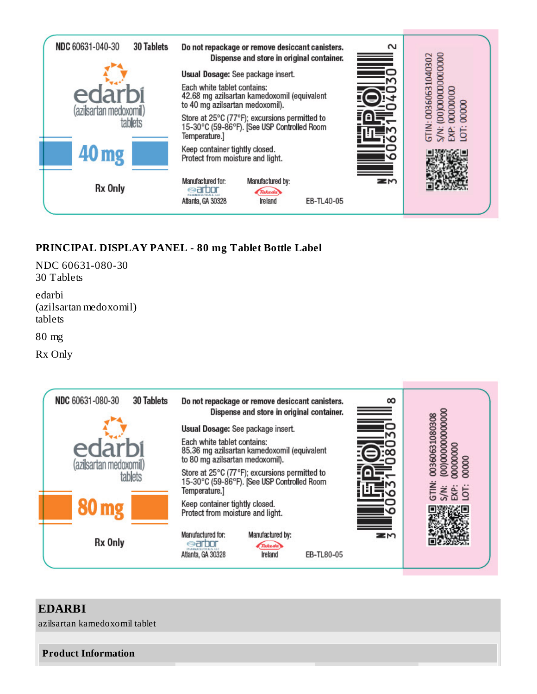

#### **PRINCIPAL DISPLAY PANEL - 80 mg Tablet Bottle Label**

NDC 60631-080-30 30 Tablets edarbi (azilsartan medoxomil) tablets

80 mg

Rx Only



# **EDARBI** azilsartan kamedoxomil tablet **Product Information**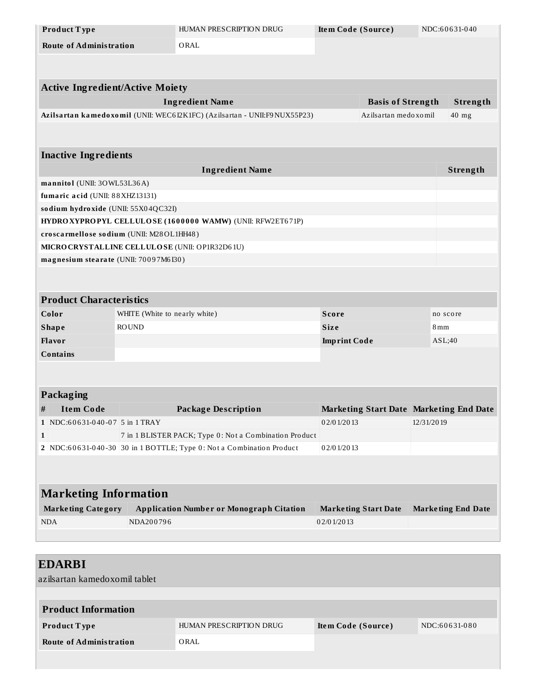| Product Type                                                   |                               | HUMAN PRESCRIPTION DRUG                                                  | Item Code (Source)  |                             |            | NDC:60631-040                           |  |
|----------------------------------------------------------------|-------------------------------|--------------------------------------------------------------------------|---------------------|-----------------------------|------------|-----------------------------------------|--|
| <b>Route of Administration</b>                                 |                               | ORAL                                                                     |                     |                             |            |                                         |  |
|                                                                |                               |                                                                          |                     |                             |            |                                         |  |
|                                                                |                               |                                                                          |                     |                             |            |                                         |  |
| <b>Active Ingredient/Active Moiety</b>                         |                               |                                                                          |                     |                             |            |                                         |  |
|                                                                |                               | <b>Ingredient Name</b>                                                   |                     | <b>Basis of Strength</b>    |            | Strength                                |  |
|                                                                |                               | Azilsartan kamedoxomil (UNII: WEC6I2K1FC) (Azilsartan - UNII:F9NUX55P23) |                     | Azilsartan medoxomil        |            | $40$ mg                                 |  |
|                                                                |                               |                                                                          |                     |                             |            |                                         |  |
|                                                                |                               |                                                                          |                     |                             |            |                                         |  |
| <b>Inactive Ingredients</b>                                    |                               |                                                                          |                     |                             |            |                                         |  |
|                                                                |                               | <b>Ingredient Name</b>                                                   |                     |                             |            | Strength                                |  |
| mannitol (UNII: 30WL53L36A)<br>fumaric acid (UNII: 88XHZ13131) |                               |                                                                          |                     |                             |            |                                         |  |
| sodium hydroxide (UNII: 55X04QC32I)                            |                               |                                                                          |                     |                             |            |                                         |  |
|                                                                |                               | HYDROXYPROPYL CELLULOSE (1600000 WAMW) (UNII: RFW2ET671P)                |                     |                             |            |                                         |  |
| croscarmellose sodium (UNII: M28OL1HH48)                       |                               |                                                                          |                     |                             |            |                                         |  |
| MICRO CRYSTALLINE CELLULO SE (UNII: OP1R32D61U)                |                               |                                                                          |                     |                             |            |                                         |  |
| magnesium stearate (UNII: 70097M6I30)                          |                               |                                                                          |                     |                             |            |                                         |  |
|                                                                |                               |                                                                          |                     |                             |            |                                         |  |
|                                                                |                               |                                                                          |                     |                             |            |                                         |  |
| <b>Product Characteristics</b>                                 |                               |                                                                          |                     |                             |            |                                         |  |
| Color                                                          | WHITE (White to nearly white) |                                                                          | <b>Score</b>        |                             |            | no score                                |  |
| <b>Shape</b>                                                   | <b>ROUND</b>                  |                                                                          | <b>Size</b>         |                             |            | 8 <sub>mm</sub>                         |  |
| Flavor                                                         |                               |                                                                          | <b>Imprint Code</b> |                             |            | ASL;40                                  |  |
| <b>Contains</b>                                                |                               |                                                                          |                     |                             |            |                                         |  |
|                                                                |                               |                                                                          |                     |                             |            |                                         |  |
|                                                                |                               |                                                                          |                     |                             |            |                                         |  |
| <b>Packaging</b>                                               |                               |                                                                          |                     |                             |            |                                         |  |
| #<br>Item Code                                                 |                               | <b>Package Description</b>                                               |                     |                             |            | Marketing Start Date Marketing End Date |  |
| 1 NDC:60631-040-07 5 in 1 TRAY                                 |                               |                                                                          | 02/01/2013          |                             | 12/31/2019 |                                         |  |
| $\mathbf{1}$                                                   |                               | 7 in 1 BLISTER PACK; Type 0: Not a Combination Product                   |                     |                             |            |                                         |  |
|                                                                |                               | 2 NDC:60631-040-30 30 in 1 BOTTLE; Type 0: Not a Combination Product     | 02/01/2013          |                             |            |                                         |  |
|                                                                |                               |                                                                          |                     |                             |            |                                         |  |
|                                                                |                               |                                                                          |                     |                             |            |                                         |  |
| <b>Marketing Information</b>                                   |                               |                                                                          |                     |                             |            |                                         |  |
| <b>Marketing Category</b>                                      |                               | <b>Application Number or Monograph Citation</b>                          |                     | <b>Marketing Start Date</b> |            | <b>Marketing End Date</b>               |  |
| <b>NDA</b>                                                     | NDA200796                     |                                                                          | 02/01/2013          |                             |            |                                         |  |
|                                                                |                               |                                                                          |                     |                             |            |                                         |  |

| <b>EDARBI</b>                  |                         |                    |               |  |  |
|--------------------------------|-------------------------|--------------------|---------------|--|--|
| azilsartan kamedoxomil tablet  |                         |                    |               |  |  |
|                                |                         |                    |               |  |  |
| <b>Product Information</b>     |                         |                    |               |  |  |
| <b>Product Type</b>            | HUMAN PRESCRIPTION DRUG | Item Code (Source) | NDC:60631-080 |  |  |
| <b>Route of Administration</b> | ORAL                    |                    |               |  |  |
|                                |                         |                    |               |  |  |